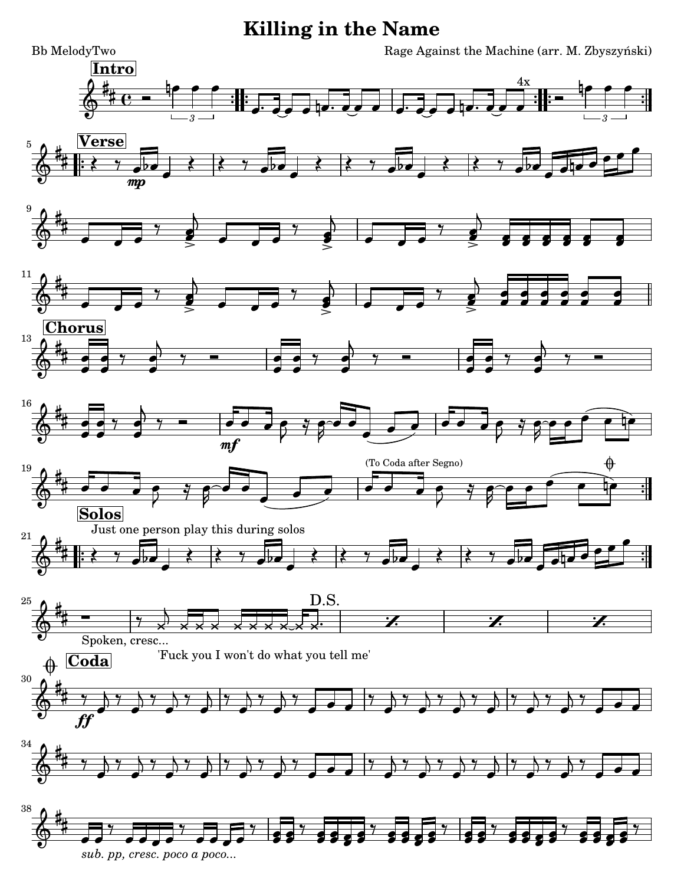## **Killing in the Name**

-

 $-$  : : ,



*[sub. pp, cresc. poco a poco...](textedit:///tmp/killing_in_the_name.ly:182:6:6)* [-](textedit:///tmp/killing_in_the_name.ly:182:84:84)